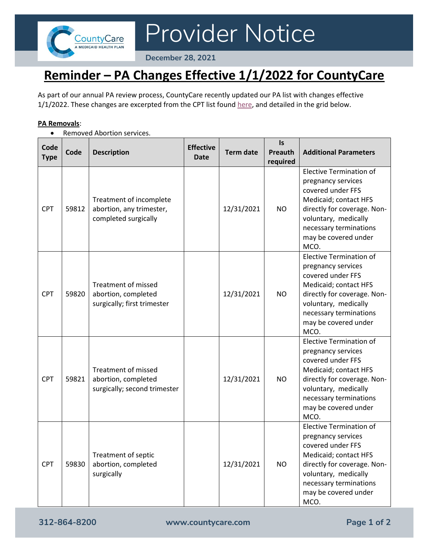

Provider Notice

**December 28, 2021**

## **Reminder – PA Changes Effective 1/1/2022 for CountyCare**

As part of our annual PA review process, CountyCare recently updated our PA list with changes effective 1/1/2022. These changes are excerpted from the CPT list found [here,](https://countycare.com/wp-content/uploads/Copy-of-CPT-CODE-LOOKUP-12.23.21_locked.xlsx) and detailed in the grid below.

## **PA Removals**:

• Removed Abortion services.

| Code<br><b>Type</b> | Code  | <b>Description</b>                                                                | <b>Effective</b><br><b>Date</b> | <b>Term date</b> | <b>Is</b><br>Preauth<br>required | <b>Additional Parameters</b>                                                                                                                                                                                        |
|---------------------|-------|-----------------------------------------------------------------------------------|---------------------------------|------------------|----------------------------------|---------------------------------------------------------------------------------------------------------------------------------------------------------------------------------------------------------------------|
| <b>CPT</b>          | 59812 | Treatment of incomplete<br>abortion, any trimester,<br>completed surgically       |                                 | 12/31/2021       | <b>NO</b>                        | <b>Elective Termination of</b><br>pregnancy services<br>covered under FFS<br>Medicaid; contact HFS<br>directly for coverage. Non-<br>voluntary, medically<br>necessary terminations<br>may be covered under<br>MCO. |
| <b>CPT</b>          | 59820 | <b>Treatment of missed</b><br>abortion, completed<br>surgically; first trimester  |                                 | 12/31/2021       | NO.                              | <b>Elective Termination of</b><br>pregnancy services<br>covered under FFS<br>Medicaid; contact HFS<br>directly for coverage. Non-<br>voluntary, medically<br>necessary terminations<br>may be covered under<br>MCO. |
| <b>CPT</b>          | 59821 | <b>Treatment of missed</b><br>abortion, completed<br>surgically; second trimester |                                 | 12/31/2021       | <b>NO</b>                        | <b>Elective Termination of</b><br>pregnancy services<br>covered under FFS<br>Medicaid; contact HFS<br>directly for coverage. Non-<br>voluntary, medically<br>necessary terminations<br>may be covered under<br>MCO. |
| <b>CPT</b>          | 59830 | Treatment of septic<br>abortion, completed<br>surgically                          |                                 | 12/31/2021       | <b>NO</b>                        | <b>Elective Termination of</b><br>pregnancy services<br>covered under FFS<br>Medicaid; contact HFS<br>directly for coverage. Non-<br>voluntary, medically<br>necessary terminations<br>may be covered under<br>MCO. |